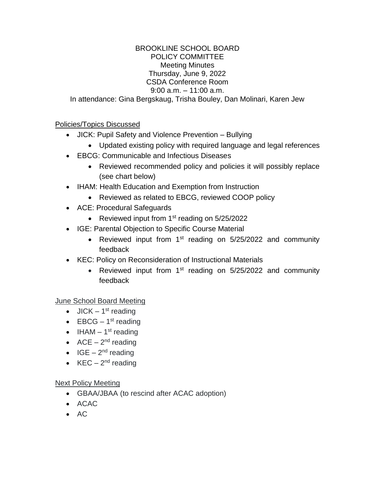## BROOKLINE SCHOOL BOARD POLICY COMMITTEE Meeting Minutes Thursday, June 9, 2022 CSDA Conference Room 9:00 a.m. – 11:00 a.m. In attendance: Gina Bergskaug, Trisha Bouley, Dan Molinari, Karen Jew

## Policies/Topics Discussed

- JICK: Pupil Safety and Violence Prevention Bullying
	- Updated existing policy with required language and legal references
- EBCG: Communicable and Infectious Diseases
	- Reviewed recommended policy and policies it will possibly replace (see chart below)
- IHAM: Health Education and Exemption from Instruction
	- Reviewed as related to EBCG, reviewed COOP policy
- ACE: Procedural Safeguards
	- Reviewed input from  $1<sup>st</sup>$  reading on  $5/25/2022$
- IGE: Parental Objection to Specific Course Material
	- Reviewed input from 1<sup>st</sup> reading on 5/25/2022 and community feedback
- KEC: Policy on Reconsideration of Instructional Materials
	- Reviewed input from  $1<sup>st</sup>$  reading on  $5/25/2022$  and community feedback

June School Board Meeting

- $\bullet$  JICK 1<sup>st</sup> reading
- $EBCG 1<sup>st</sup>$  reading
- IHAM  $-1<sup>st</sup>$  reading
- $ACE 2<sup>nd</sup>$  reading
- $\bullet$  IGE 2<sup>nd</sup> reading
- $KEC 2<sup>nd</sup>$  reading

## Next Policy Meeting

- GBAA/JBAA (to rescind after ACAC adoption)
- ACAC
- $AC$